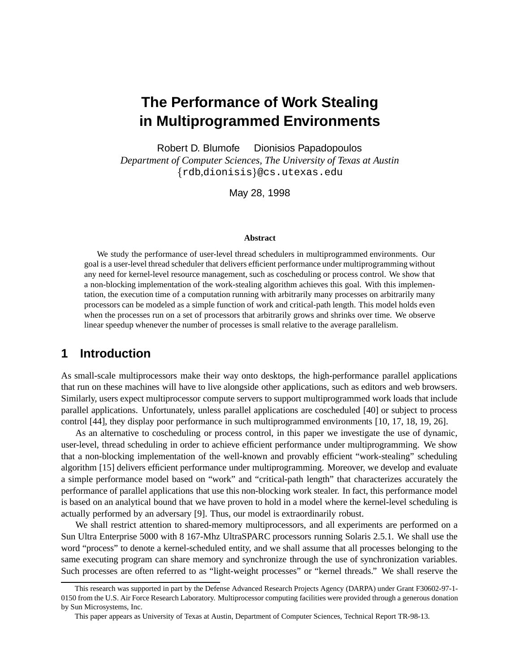# **The Performance of Work Stealing in Multiprogrammed Environments**

Robert D. Blumofe Dionisios Papadopoulos

*Department of Computer Sciences, The University of Texas at Austin*  $\left\{ \text{rdb}, \text{dionisis} \right\}$ @cs.utexas.edu

May 28, 1998

#### **Abstract**

We study the performance of user-level thread schedulers in multiprogrammed environments. Our goal is a user-level thread scheduler that delivers efficient performance under multiprogramming without any need for kernel-level resource management, such as coscheduling or process control. We show that a non-blocking implementation of the work-stealing algorithm achieves this goal. With this implementation, the execution time of a computation running with arbitrarily many processes on arbitrarily many processors can be modeled as a simple function of work and critical-path length. This model holds even when the processes run on a set of processors that arbitrarily grows and shrinks over time. We observe linear speedup whenever the number of processes is small relative to the average parallelism.

### **1 Introduction**

As small-scale multiprocessors make their way onto desktops, the high-performance parallel applications that run on these machines will have to live alongside other applications, such as editors and web browsers. Similarly, users expect multiprocessor compute servers to support multiprogrammed work loads that include parallel applications. Unfortunately, unless parallel applications are coscheduled [40] or subject to process control [44], they display poor performance in such multiprogrammed environments [10, 17, 18, 19, 26].

As an alternative to coscheduling or process control, in this paper we investigate the use of dynamic, user-level, thread scheduling in order to achieve efficient performance under multiprogramming. We show that a non-blocking implementation of the well-known and provably efficient "work-stealing" scheduling algorithm [15] delivers efficient performance under multiprogramming. Moreover, we develop and evaluate a simple performance model based on "work" and "critical-path length" that characterizes accurately the performance of parallel applications that use this non-blocking work stealer. In fact, this performance model is based on an analytical bound that we have proven to hold in a model where the kernel-level scheduling is actually performed by an adversary [9]. Thus, our model is extraordinarily robust.

We shall restrict attention to shared-memory multiprocessors, and all experiments are performed on a Sun Ultra Enterprise 5000 with 8 167-Mhz UltraSPARC processors running Solaris 2.5.1. We shall use the word "process" to denote a kernel-scheduled entity, and we shall assume that all processes belonging to the same executing program can share memory and synchronize through the use of synchronization variables. Such processes are often referred to as "light-weight processes" or "kernel threads." We shall reserve the

This research was supported in part by the Defense Advanced Research Projects Agency (DARPA) under Grant F30602-97-1- 0150 from the U.S. Air Force Research Laboratory. Multiprocessor computing facilities were provided through a generous donation by Sun Microsystems, Inc.

This paper appears as University of Texas at Austin, Department of Computer Sciences, Technical Report TR-98-13.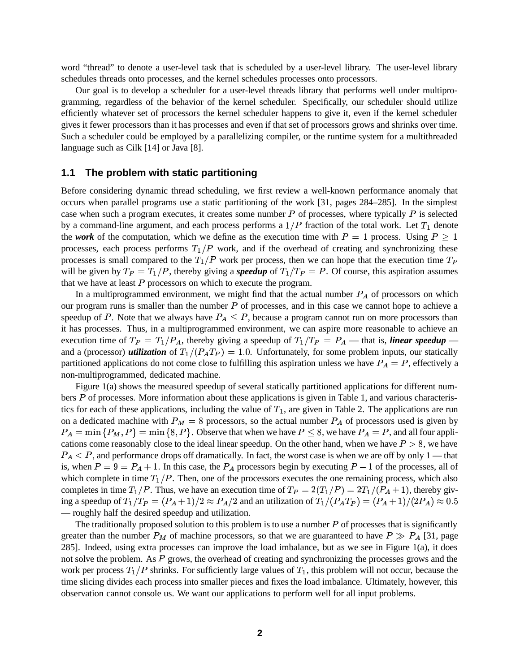word "thread" to denote a user-level task that is scheduled by a user-level library. The user-level library schedules threads onto processes, and the kernel schedules processes onto processors.

Our goal is to develop a scheduler for a user-level threads library that performs well under multiprogramming, regardless of the behavior of the kernel scheduler. Specifically, our scheduler should utilize efficiently whatever set of processors the kernel scheduler happens to give it, even if the kernel scheduler gives it fewer processors than it has processes and even if that set of processors grows and shrinks over time. Such a scheduler could be employed by a parallelizing compiler, or the runtime system for a multithreaded language such as Cilk [14] or Java [8].

#### **1.1 The problem with static partitioning**

Before considering dynamic thread scheduling, we first review a well-known performance anomaly that occurs when parallel programs use a static partitioning of the work [31, pages 284–285]. In the simplest case when such a program executes, it creates some number  $P$  of processes, where typically  $P$  is selected by a command-line argument, and each process performs a  $1/P$  fraction of the total work. Let  $T_1$  denote the *work* of the computation, which we define as the execution time with  $P = 1$  process. Using  $P \ge 1$ processes, each process performs  $T_1/P$  work, and if the overhead of creating and synchronizing these processes is small compared to the  $T_1/P$  work per process, then we can hope that the execution time  $T_P$ will be given by  $T_P = T_1/P$ , thereby giving a *speedup* of  $T_1/T_P = P$ . Of course, this aspiration assumes that we have at least  $P$  processors on which to execute the program.

In a multiprogrammed environment, we might find that the actual number  $P_A$  of processors on which our program runs is smaller than the number  $P$  of processes, and in this case we cannot hope to achieve a speedup of P. Note that we always have  $P_A \leq P$ , because a program cannot run on more processors than it has processes. Thus, in a multiprogrammed environment, we can aspire more reasonable to achieve an execution time of  $T_P = T_1/P_A$ , thereby giving a speedup of  $T_1/T_P = P_A$  — that is, *linear speedup* and a (processor) *utilization* of  $T_1/(P_A T_P) = 1.0$ . Unfortunately, for some problem inputs, our statically partitioned applications do not come close to fulfilling this aspiration unless we have  $P_A = P$ , effectively a non-multiprogrammed, dedicated machine.

Figure 1(a) shows the measured speedup of several statically partitioned applications for different numbers  $P$  of processes. More information about these applications is given in Table 1, and various characteristics for each of these applications, including the value of  $T_1$ , are given in Table 2. The applications are run on a dedicated machine with  $P_M = 8$  processors, so the actual number  $P_A$  of processors used is given by  $P_A = \min \{P_M, P\} = \min \{8, P\}.$  Observe that when we have  $P \leq 8$ , we have  $P_A = P$ , and all four applications come reasonably close to the ideal linear speedup. On the other hand, when we have  $P > 8$ , we have  $P_A < P$ , and performance drops off dramatically. In fact, the worst case is when we are off by only 1 — that is, when  $P = 9 = P_A + 1$ . In this case, the  $P_A$  processors begin by executing  $P - 1$  of the processes, all of which complete in time  $T_1/P$ . Then, one of the processors executes the one remaining process, which also completes in time  $T_1/P$ . Thus, we have an execution time of  $T_P = 2(T_1/P) = 2T_1/(P_A + 1)$ , thereby giving a speedup of  $T_1/T_P = (P_A + 1)/2 \approx P_A/2$  and an utilization of  $T_1/(P_A T_P) = (P_A + 1)/(2P_A) \approx 0.5$ — roughly half the desired speedup and utilization.

The traditionally proposed solution to this problem is to use a number  $P$  of processes that is significantly greater than the number  $P_M$  of machine processors, so that we are guaranteed to have  $P \gg P_A$  [31, page 285]. Indeed, using extra processes can improve the load imbalance, but as we see in Figure 1(a), it does not solve the problem. As P grows, the overhead of creating and synchronizing the processes grows and the work per process  $T_1/P$  shrinks. For sufficiently large values of  $T_1$ , this problem will not occur, because the time slicing divides each process into smaller pieces and fixes the load imbalance. Ultimately, however, this observation cannot console us. We want our applications to perform well for all input problems.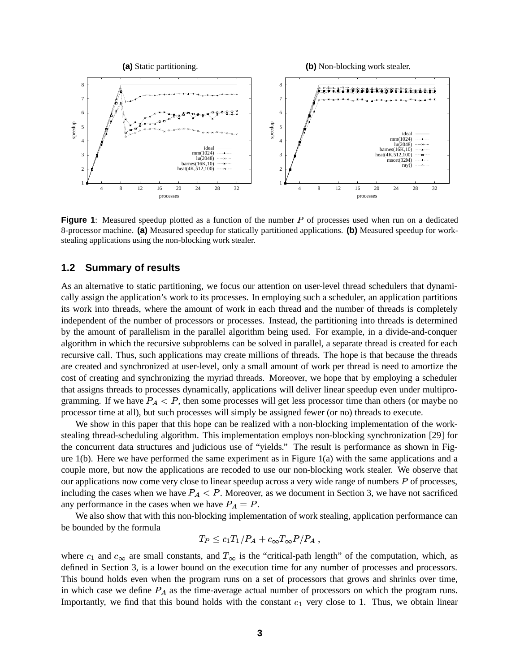

**Figure** 1: Measured speedup plotted as a function of the number  $P$  of processes used when run on a dedicated 8-processor machine. **(a)** Measured speedup for statically partitioned applications. **(b)** Measured speedup for workstealing applications using the non-blocking work stealer.

### **1.2 Summary of results**

As an alternative to static partitioning, we focus our attention on user-level thread schedulers that dynamically assign the application's work to its processes. In employing such a scheduler, an application partitions its work into threads, where the amount of work in each thread and the number of threads is completely independent of the number of processors or processes. Instead, the partitioning into threads is determined by the amount of parallelism in the parallel algorithm being used. For example, in a divide-and-conquer algorithm in which the recursive subproblems can be solved in parallel, a separate thread is created for each recursive call. Thus, such applications may create millions of threads. The hope is that because the threads are created and synchronized at user-level, only a small amount of work per thread is need to amortize the cost of creating and synchronizing the myriad threads. Moreover, we hope that by employing a scheduler that assigns threads to processes dynamically, applications will deliver linear speedup even under multiprogramming. If we have  $P_A < P$ , then some processes will get less processor time than others (or maybe no processor time at all), but such processes will simply be assigned fewer (or no) threads to execute.

We show in this paper that this hope can be realized with a non-blocking implementation of the workstealing thread-scheduling algorithm. This implementation employs non-blocking synchronization [29] for the concurrent data structures and judicious use of "yields." The result is performance as shown in Figure  $1(b)$ . Here we have performed the same experiment as in Figure  $1(a)$  with the same applications and a couple more, but now the applications are recoded to use our non-blocking work stealer. We observe that our applications now come very close to linear speedup across a very wide range of numbers  $P$  of processes, including the cases when we have  $P_A < P$ . Moreover, as we document in Section 3, we have not sacrificed any performance in the cases when we have  $P_A = P$ .

We also show that with this non-blocking implementation of work stealing, application performance can be bounded by the formula

$$
T_P \le c_1 T_1/P_A + c_\infty T_\infty P/P_A ,
$$

where  $c_1$  and  $c_\infty$  are small constants, and  $T_\infty$  is the "critical-path length" of the computation, which, as defined in Section 3, is a lower bound on the execution time for any number of processes and processors. This bound holds even when the program runs on a set of processors that grows and shrinks over time, in which case we define  $P_A$  as the time-average actual number of processors on which the program runs. Importantly, we find that this bound holds with the constant  $c_1$  very close to 1. Thus, we obtain linear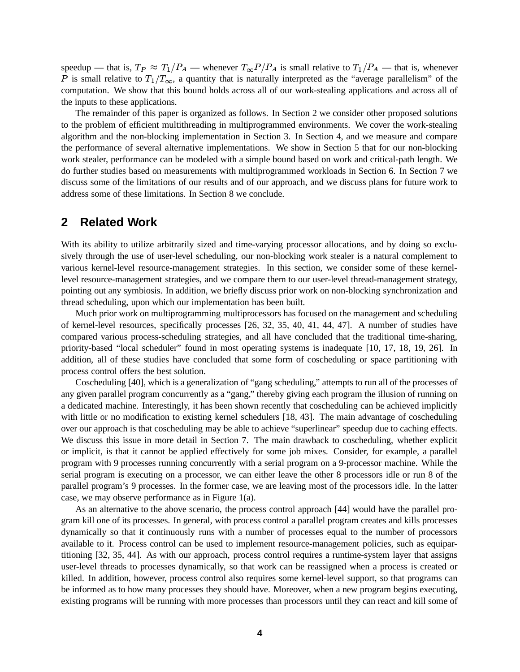speedup — that is,  $T_P \approx T_1/P_A$  — whenever  $T_\infty P/P_A$  is small relative to  $T_1/P_A$  — that is, whenever P is small relative to  $T_1/T_\infty$ , a quantity that is naturally interpreted as the "average parallelism" of the computation. We show that this bound holds across all of our work-stealing applications and across all of the inputs to these applications.

The remainder of this paper is organized as follows. In Section 2 we consider other proposed solutions to the problem of efficient multithreading in multiprogrammed environments. We cover the work-stealing algorithm and the non-blocking implementation in Section 3. In Section 4, and we measure and compare the performance of several alternative implementations. We show in Section 5 that for our non-blocking work stealer, performance can be modeled with a simple bound based on work and critical-path length. We do further studies based on measurements with multiprogrammed workloads in Section 6. In Section 7 we discuss some of the limitations of our results and of our approach, and we discuss plans for future work to address some of these limitations. In Section 8 we conclude.

### **2 Related Work**

With its ability to utilize arbitrarily sized and time-varying processor allocations, and by doing so exclusively through the use of user-level scheduling, our non-blocking work stealer is a natural complement to various kernel-level resource-management strategies. In this section, we consider some of these kernellevel resource-management strategies, and we compare them to our user-level thread-management strategy, pointing out any symbiosis. In addition, we briefly discuss prior work on non-blocking synchronization and thread scheduling, upon which our implementation has been built.

Much prior work on multiprogramming multiprocessors has focused on the management and scheduling of kernel-level resources, specifically processes [26, 32, 35, 40, 41, 44, 47]. A number of studies have compared various process-scheduling strategies, and all have concluded that the traditional time-sharing, priority-based "local scheduler" found in most operating systems is inadequate [10, 17, 18, 19, 26]. In addition, all of these studies have concluded that some form of coscheduling or space partitioning with process control offers the best solution.

Coscheduling [40], which is a generalization of "gang scheduling," attempts to run all of the processes of any given parallel program concurrently as a "gang," thereby giving each program the illusion of running on a dedicated machine. Interestingly, it has been shown recently that coscheduling can be achieved implicitly with little or no modification to existing kernel schedulers [18, 43]. The main advantage of coscheduling over our approach is that coscheduling may be able to achieve "superlinear" speedup due to caching effects. We discuss this issue in more detail in Section 7. The main drawback to coscheduling, whether explicit or implicit, is that it cannot be applied effectively for some job mixes. Consider, for example, a parallel program with 9 processes running concurrently with a serial program on a 9-processor machine. While the serial program is executing on a processor, we can either leave the other 8 processors idle or run 8 of the parallel program's 9 processes. In the former case, we are leaving most of the processors idle. In the latter case, we may observe performance as in Figure 1(a).

As an alternative to the above scenario, the process control approach [44] would have the parallel program kill one of its processes. In general, with process control a parallel program creates and kills processes dynamically so that it continuously runs with a number of processes equal to the number of processors available to it. Process control can be used to implement resource-management policies, such as equipartitioning [32, 35, 44]. As with our approach, process control requires a runtime-system layer that assigns user-level threads to processes dynamically, so that work can be reassigned when a process is created or killed. In addition, however, process control also requires some kernel-level support, so that programs can be informed as to how many processes they should have. Moreover, when a new program begins executing, existing programs will be running with more processes than processors until they can react and kill some of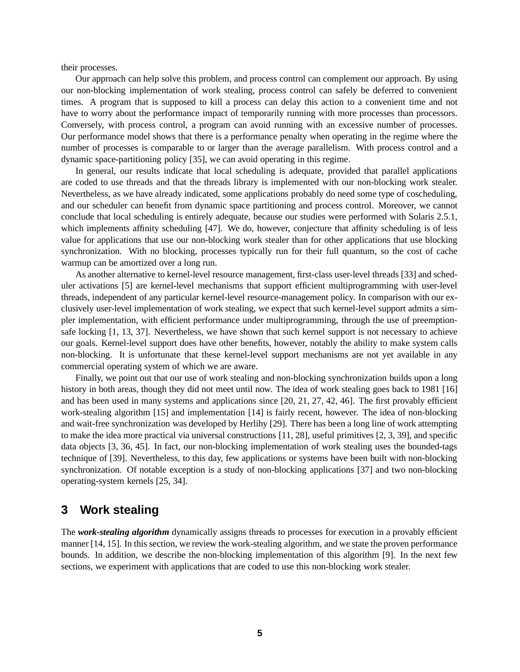their processes.

Our approach can help solve this problem, and process control can complement our approach. By using our non-blocking implementation of work stealing, process control can safely be deferred to convenient times. A program that is supposed to kill a process can delay this action to a convenient time and not have to worry about the performance impact of temporarily running with more processes than processors. Conversely, with process control, a program can avoid running with an excessive number of processes. Our performance model shows that there is a performance penalty when operating in the regime where the number of processes is comparable to or larger than the average parallelism. With process control and a dynamic space-partitioning policy [35], we can avoid operating in this regime.

In general, our results indicate that local scheduling is adequate, provided that parallel applications are coded to use threads and that the threads library is implemented with our non-blocking work stealer. Nevertheless, as we have already indicated, some applications probably do need some type of coscheduling, and our scheduler can benefit from dynamic space partitioning and process control. Moreover, we cannot conclude that local scheduling is entirely adequate, because our studies were performed with Solaris 2.5.1, which implements affinity scheduling [47]. We do, however, conjecture that affinity scheduling is of less value for applications that use our non-blocking work stealer than for other applications that use blocking synchronization. With no blocking, processes typically run for their full quantum, so the cost of cache warmup can be amortized over a long run.

As another alternative to kernel-level resource management, first-class user-level threads [33] and scheduler activations [5] are kernel-level mechanisms that support efficient multiprogramming with user-level threads, independent of any particular kernel-level resource-management policy. In comparison with our exclusively user-level implementation of work stealing, we expect that such kernel-level support admits a simpler implementation, with efficient performance under multiprogramming, through the use of preemptionsafe locking [1, 13, 37]. Nevertheless, we have shown that such kernel support is not necessary to achieve our goals. Kernel-level support does have other benefits, however, notably the ability to make system calls non-blocking. It is unfortunate that these kernel-level support mechanisms are not yet available in any commercial operating system of which we are aware.

Finally, we point out that our use of work stealing and non-blocking synchronization builds upon a long history in both areas, though they did not meet until now. The idea of work stealing goes back to 1981 [16] and has been used in many systems and applications since [20, 21, 27, 42, 46]. The first provably efficient work-stealing algorithm [15] and implementation [14] is fairly recent, however. The idea of non-blocking and wait-free synchronization was developed by Herlihy [29]. There has been a long line of work attempting to make the idea more practical via universal constructions [11, 28], useful primitives [2, 3, 39], and specific data objects [3, 36, 45]. In fact, our non-blocking implementation of work stealing uses the bounded-tags technique of [39]. Nevertheless, to this day, few applications or systems have been built with non-blocking synchronization. Of notable exception is a study of non-blocking applications [37] and two non-blocking operating-system kernels [25, 34].

### **3 Work stealing**

The *work-stealing algorithm* dynamically assigns threads to processes for execution in a provably efficient manner [14, 15]. In this section, we review the work-stealing algorithm, and we state the proven performance bounds. In addition, we describe the non-blocking implementation of this algorithm [9]. In the next few sections, we experiment with applications that are coded to use this non-blocking work stealer.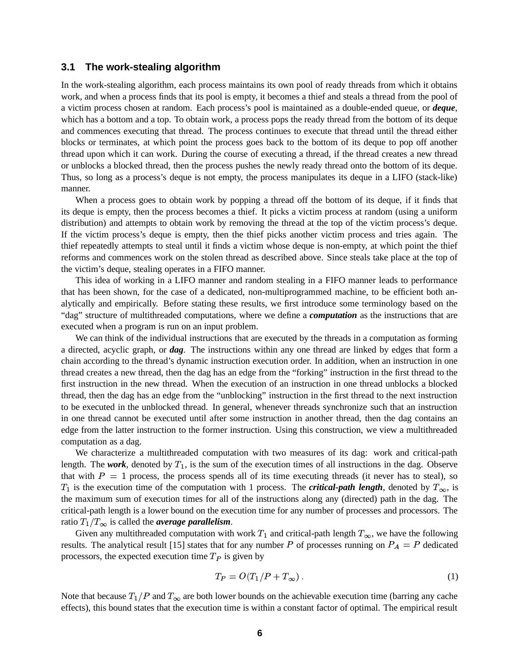#### **3.1 The work-stealing algorithm**

In the work-stealing algorithm, each process maintains its own pool of ready threads from which it obtains work, and when a process finds that its pool is empty, it becomes a thief and steals a thread from the pool of a victim process chosen at random. Each process's pool is maintained as a double-ended queue, or *deque*, which has a bottom and a top. To obtain work, a process pops the ready thread from the bottom of its deque and commences executing that thread. The process continues to execute that thread until the thread either blocks or terminates, at which point the process goes back to the bottom of its deque to pop off another thread upon which it can work. During the course of executing a thread, if the thread creates a new thread or unblocks a blocked thread, then the process pushes the newly ready thread onto the bottom of its deque. Thus, so long as a process's deque is not empty, the process manipulates its deque in a LIFO (stack-like) manner.

When a process goes to obtain work by popping a thread off the bottom of its deque, if it finds that its deque is empty, then the process becomes a thief. It picks a victim process at random (using a uniform distribution) and attempts to obtain work by removing the thread at the top of the victim process's deque. If the victim process's deque is empty, then the thief picks another victim process and tries again. The thief repeatedly attempts to steal until it finds a victim whose deque is non-empty, at which point the thief reforms and commences work on the stolen thread as described above. Since steals take place at the top of the victim's deque, stealing operates in a FIFO manner.

This idea of working in a LIFO manner and random stealing in a FIFO manner leads to performance that has been shown, for the case of a dedicated, non-multiprogrammed machine, to be efficient both analytically and empirically. Before stating these results, we first introduce some terminology based on the "dag" structure of multithreaded computations, where we define a *computation* as the instructions that are executed when a program is run on an input problem.

We can think of the individual instructions that are executed by the threads in a computation as forming a directed, acyclic graph, or *dag*. The instructions within any one thread are linked by edges that form a chain according to the thread's dynamic instruction execution order. In addition, when an instruction in one thread creates a new thread, then the dag has an edge from the "forking" instruction in the first thread to the first instruction in the new thread. When the execution of an instruction in one thread unblocks a blocked thread, then the dag has an edge from the "unblocking" instruction in the first thread to the next instruction to be executed in the unblocked thread. In general, whenever threads synchronize such that an instruction in one thread cannot be executed until after some instruction in another thread, then the dag contains an edge from the latter instruction to the former instruction. Using this construction, we view a multithreaded computation as a dag.

We characterize a multithreaded computation with two measures of its dag: work and critical-path length. The *work*, denoted by  $T_1$ , is the sum of the execution times of all instructions in the dag. Observe that with  $P = 1$  process, the process spends all of its time executing threads (it never has to steal), so  $T_1$  is the execution time of the computation with 1 process. The *critical-path length*, denoted by  $T_{\infty}$ , is the maximum sum of execution times for all of the instructions along any (directed) path in the dag. The critical-path length is a lower bound on the execution time for any number of processes and processors. The ratio  $T_1/T_\infty$  is called the *average parallelism*.

Given any multithreaded computation with work  $T_1$  and critical-path length  $T_\infty$ , we have the following results. The analytical result [15] states that for any number P of processes running on  $P_A = P$  dedicated processors, the expected execution time  $T_p$  is given by

$$
T_P = O(T_1/P + T_\infty) \tag{1}
$$

Note that because  $T_1/P$  and  $T_\infty$  are both lower bounds on the achievable execution time (barring any cache effects), this bound states that the execution time is within a constant factor of optimal. The empirical result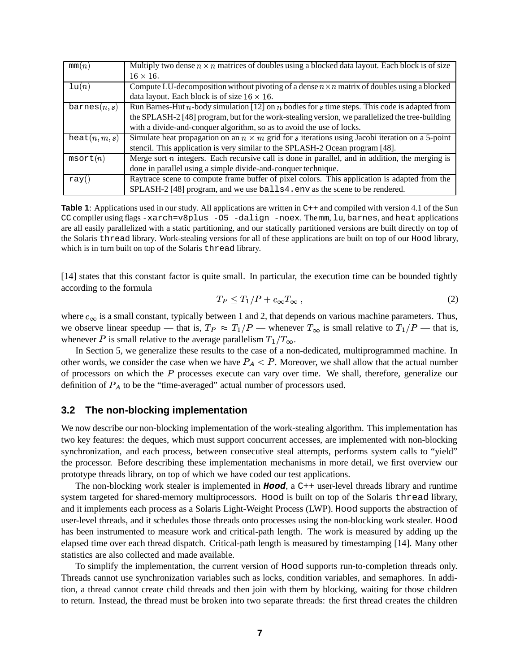| mm(n)                   | Multiply two dense $n \times n$ matrices of doubles using a blocked data layout. Each block is of size |
|-------------------------|--------------------------------------------------------------------------------------------------------|
|                         | $16 \times 16$ .                                                                                       |
| $\ln(n)$                | Compute LU-decomposition without pivoting of a dense $n \times n$ matrix of doubles using a blocked    |
|                         | data layout. Each block is of size $16 \times 16$ .                                                    |
| $\texttt{barnes}(n, s)$ | Run Barnes-Hut $n$ -body simulation [12] on $n$ bodies for $s$ time steps. This code is adapted from   |
|                         | the SPLASH-2 [48] program, but for the work-stealing version, we parallelized the tree-building        |
|                         | with a divide-and-conquer algorithm, so as to avoid the use of locks.                                  |
| heat(n, m, s)           | Simulate heat propagation on an $n \times m$ grid for s iterations using Jacobi iteration on a 5-point |
|                         | stencil. This application is very similar to the SPLASH-2 Ocean program [48].                          |
| msort(n)                | Merge sort $n$ integers. Each recursive call is done in parallel, and in addition, the merging is      |
|                         | done in parallel using a simple divide-and-conquer technique.                                          |
| ray()                   | Raytrace scene to compute frame buffer of pixel colors. This application is adapted from the           |
|                         | SPLASH-2 [48] program, and we use balls 4. env as the scene to be rendered.                            |

**Table 1**: Applications used in our study. All applications are written in C++ and compiled with version 4.1 of the Sun CC compiler using flags -xarch=v8plus -O5 -dalign -noex. The mm, lu, barnes, and heat applications are all easily parallelized with a static partitioning, and our statically partitioned versions are built directly on top of the Solaris thread library. Work-stealing versions for all of these applications are built on top of our Hood library, which is in turn built on top of the Solaris thread library.

[14] states that this constant factor is quite small. In particular, the execution time can be bounded tightly according to the formula

$$
T_P \le T_1/P + c_\infty T_\infty \,,\tag{2}
$$

where  $c_{\infty}$  is a small constant, typically between 1 and 2, that depends on various machine parameters. Thus, we observe linear speedup — that is,  $T_P \approx T_1/P$  — whenever  $T_\infty$  is small relative to  $T_1/P$  — that is, whenever P is small relative to the average parallelism  $T_1/T_\infty$ .

In Section 5, we generalize these results to the case of a non-dedicated, multiprogrammed machine. In other words, we consider the case when we have  $P_A < P$ . Moreover, we shall allow that the actual number of processors on which the  $P$  processes execute can vary over time. We shall, therefore, generalize our definition of  $P_A$  to be the "time-averaged" actual number of processors used.

### **3.2 The non-blocking implementation**

We now describe our non-blocking implementation of the work-stealing algorithm. This implementation has two key features: the deques, which must support concurrent accesses, are implemented with non-blocking synchronization, and each process, between consecutive steal attempts, performs system calls to "yield" the processor. Before describing these implementation mechanisms in more detail, we first overview our prototype threads library, on top of which we have coded our test applications.

The non-blocking work stealer is implemented in **Hood**, a C++ user-level threads library and runtime system targeted for shared-memory multiprocessors. Hood is built on top of the Solaris thread library, and it implements each process as a Solaris Light-Weight Process (LWP). Hood supports the abstraction of user-level threads, and it schedules those threads onto processes using the non-blocking work stealer. Hood has been instrumented to measure work and critical-path length. The work is measured by adding up the elapsed time over each thread dispatch. Critical-path length is measured by timestamping [14]. Many other statistics are also collected and made available.

To simplify the implementation, the current version of Hood supports run-to-completion threads only. Threads cannot use synchronization variables such as locks, condition variables, and semaphores. In addition, a thread cannot create child threads and then join with them by blocking, waiting for those children to return. Instead, the thread must be broken into two separate threads: the first thread creates the children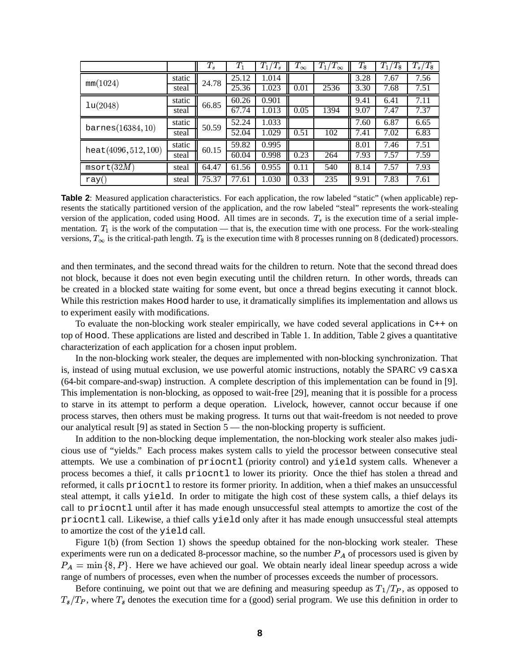|                      |        | $T_s$ | $T_1$ | $T_1/T_s$ | $T_\infty$ | $T_1/T_\infty$ | $T_{\rm 8}$ | $T_1/T_8$ | $T_s/T_8$ |
|----------------------|--------|-------|-------|-----------|------------|----------------|-------------|-----------|-----------|
| mm(1024)             | static | 24.78 | 25.12 | 1.014     |            |                | 3.28        | 7.67      | 7.56      |
|                      | steal  |       | 25.36 | 1.023     | 0.01       | 2536           | 3.30        | 7.68      | 7.51      |
| lu(2048)             | static | 66.85 | 60.26 | 0.901     |            |                | 9.41        | 6.41      | 7.11      |
|                      | steal  |       | 67.74 | 1.013     | 0.05       | 1394           | 9.07        | 7.47      | 7.37      |
| barnes(16384, 10)    | static | 50.59 | 52.24 | 1.033     |            |                | 7.60        | 6.87      | 6.65      |
|                      | steal  |       | 52.04 | 1.029     | 0.51       | 102            | 7.41        | 7.02      | 6.83      |
| heat(4096, 512, 100) | static | 60.15 | 59.82 | 0.995     |            |                | 8.01        | 7.46      | 7.51      |
|                      | steal  |       | 60.04 | 0.998     | 0.23       | 264            | 7.93        | 7.57      | 7.59      |
| msort(32M)           | steal  | 64.47 | 61.56 | 0.955     | 0.11       | 540            | 8.14        | 7.57      | 7.93      |
| ray(                 | steal  | 75.37 | 77.61 | 1.030     | 0.33       | 235            | 9.91        | 7.83      | 7.61      |

**Table 2**: Measured application characteristics. For each application, the row labeled "static" (when applicable) represents the statically partitioned version of the application, and the row labeled "steal" represents the work-stealing version of the application, coded using Hood. All times are in seconds.  $T_s$  is the execution time of a serial implementation.  $T_1$  is the work of the computation — that is, the execution time with one process. For the work-stealing versions,  $T_{\infty}$  is the critical-path length.  $T_8$  is the execution time with 8 processes running on 8 (dedicated) processors.

and then terminates, and the second thread waits for the children to return. Note that the second thread does not block, because it does not even begin executing until the children return. In other words, threads can be created in a blocked state waiting for some event, but once a thread begins executing it cannot block. While this restriction makes Hood harder to use, it dramatically simplifies its implementation and allows us to experiment easily with modifications.

To evaluate the non-blocking work stealer empirically, we have coded several applications in  $C_{+}$  on top of Hood. These applications are listed and described in Table 1. In addition, Table 2 gives a quantitative characterization of each application for a chosen input problem.

In the non-blocking work stealer, the deques are implemented with non-blocking synchronization. That is, instead of using mutual exclusion, we use powerful atomic instructions, notably the SPARC v9 casxa (64-bit compare-and-swap) instruction. A complete description of this implementation can be found in [9]. This implementation is non-blocking, as opposed to wait-free [29], meaning that it is possible for a process to starve in its attempt to perform a deque operation. Livelock, however, cannot occur because if one process starves, then others must be making progress. It turns out that wait-freedom is not needed to prove our analytical result [9] as stated in Section 5 — the non-blocking property is sufficient.

In addition to the non-blocking deque implementation, the non-blocking work stealer also makes judicious use of "yields." Each process makes system calls to yield the processor between consecutive steal attempts. We use a combination of priocntl (priority control) and yield system calls. Whenever a process becomes a thief, it calls priocntl to lower its priority. Once the thief has stolen a thread and reformed, it calls priocntl to restore its former priority. In addition, when a thief makes an unsuccessful steal attempt, it calls yield. In order to mitigate the high cost of these system calls, a thief delays its call to priocntl until after it has made enough unsuccessful steal attempts to amortize the cost of the priocntl call. Likewise, a thief calls yield only after it has made enough unsuccessful steal attempts to amortize the cost of the yield call.

Figure 1(b) (from Section 1) shows the speedup obtained for the non-blocking work stealer. These experiments were run on a dedicated 8-processor machine, so the number  $P_A$  of processors used is given by  $P_A = \min\{8, P\}$ . Here we have achieved our goal. We obtain nearly ideal linear speedup across a wide range of numbers of processes, even when the number of processes exceeds the number of processors.

Before continuing, we point out that we are defining and measuring speedup as  $T_1/T_P$ , as opposed to  $T_s/T_P$ , where  $T_s$  denotes the execution time for a (good) serial program. We use this definition in order to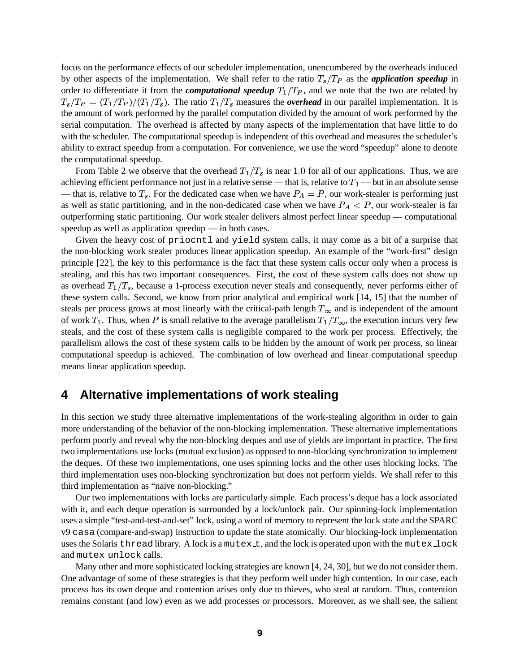focus on the performance effects of our scheduler implementation, unencumbered by the overheads induced by other aspects of the implementation. We shall refer to the ratio  $T_s/T_P$  as the *application speedup* in order to differentiate it from the *computational speedup*  $T_1/T_P$ , and we note that the two are related by  $T_s/T_P = (T_1/T_P)/(T_1/T_s)$ . The ratio  $T_1/T_s$  measures the *overhead* in our parallel implementation. It is the amount of work performed by the parallel computation divided by the amount of work performed by the serial computation. The overhead is affected by many aspects of the implementation that have little to do with the scheduler. The computational speedup is independent of this overhead and measures the scheduler's ability to extract speedup from a computation. For convenience, we use the word "speedup" alone to denote the computational speedup.

From Table 2 we observe that the overhead  $T_1/T_s$  is near 1.0 for all of our applications. Thus, we are achieving efficient performance not just in a relative sense — that is, relative to  $T_1$  — but in an absolute sense — that is, relative to  $T_s$ . For the dedicated case when we have  $P_A = P$ , our work-stealer is performing just as well as static partitioning, and in the non-dedicated case when we have  $P_A < P$ , our work-stealer is far outperforming static partitioning. Our work stealer delivers almost perfect linear speedup — computational speedup as well as application speedup — in both cases.

Given the heavy cost of priocntl and yield system calls, it may come as a bit of a surprise that the non-blocking work stealer produces linear application speedup. An example of the "work-first" design principle [22], the key to this performance is the fact that these system calls occur only when a process is stealing, and this has two important consequences. First, the cost of these system calls does not show up as overhead  $T_1/T_s$ , because a 1-process execution never steals and consequently, never performs either of these system calls. Second, we know from prior analytical and empirical work [14, 15] that the number of steals per process grows at most linearly with the critical-path length  $T_{\infty}$  and is independent of the amount of work  $T_1$ . Thus, when P is small relative to the average parallelism  $T_1/T_\infty$ , the execution incurs very few steals, and the cost of these system calls is negligible compared to the work per process. Effectively, the parallelism allows the cost of these system calls to be hidden by the amount of work per process, so linear computational speedup is achieved. The combination of low overhead and linear computational speedup means linear application speedup.

## **4 Alternative implementations of work stealing**

In this section we study three alternative implementations of the work-stealing algorithm in order to gain more understanding of the behavior of the non-blocking implementation. These alternative implementations perform poorly and reveal why the non-blocking deques and use of yields are important in practice. The first two implementations use locks (mutual exclusion) as opposed to non-blocking synchronization to implement the deques. Of these two implementations, one uses spinning locks and the other uses blocking locks. The third implementation uses non-blocking synchronization but does not perform yields. We shall refer to this third implementation as "naive non-blocking."

Our two implementations with locks are particularly simple. Each process's deque has a lock associated with it, and each deque operation is surrounded by a lock/unlock pair. Our spinning-lock implementation uses a simple "test-and-test-and-set" lock, using a word of memory to represent the lock state and the SPARC v9 casa (compare-and-swap) instruction to update the state atomically. Our blocking-lock implementation uses the Solaris thread library. A lock is a mutex  $t$ , and the lock is operated upon with the mutex  $\bot$  ock and mutex unlock calls.

Many other and more sophisticated locking strategies are known [4, 24, 30], but we do not consider them. One advantage of some of these strategies is that they perform well under high contention. In our case, each process has its own deque and contention arises only due to thieves, who steal at random. Thus, contention remains constant (and low) even as we add processes or processors. Moreover, as we shall see, the salient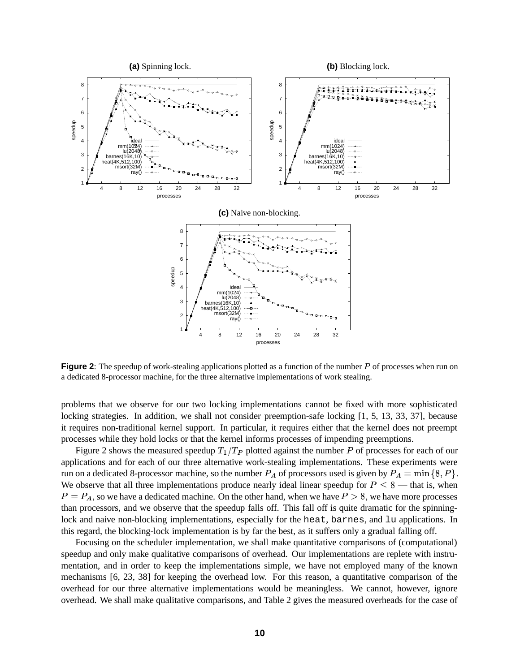

**Figure 2**: The speedup of work-stealing applications plotted as a function of the number P of processes when run on a dedicated 8-processor machine, for the three alternative implementations of work stealing.

problems that we observe for our two locking implementations cannot be fixed with more sophisticated locking strategies. In addition, we shall not consider preemption-safe locking [1, 5, 13, 33, 37], because it requires non-traditional kernel support. In particular, it requires either that the kernel does not preempt processes while they hold locks or that the kernel informs processes of impending preemptions.

Figure 2 shows the measured speedup  $T_1/T_P$  plotted against the number P of processes for each of our applications and for each of our three alternative work-stealing implementations. These experiments were run on a dedicated 8-processor machine, so the number  $P_A$  of processors used is given by  $P_A = \min \{8, P\}.$ We observe that all three implementations produce nearly ideal linear speedup for  $P \leq 8$  — that is, when  $P = P_A$ , so we have a dedicated machine. On the other hand, when we have  $P > 8$ , we have more processes than processors, and we observe that the speedup falls off. This fall off is quite dramatic for the spinninglock and naive non-blocking implementations, especially for the heat, barnes, and lu applications. In this regard, the blocking-lock implementation is by far the best, as it suffers only a gradual falling off.

Focusing on the scheduler implementation, we shall make quantitative comparisons of (computational) speedup and only make qualitative comparisons of overhead. Our implementations are replete with instrumentation, and in order to keep the implementations simple, we have not employed many of the known mechanisms [6, 23, 38] for keeping the overhead low. For this reason, a quantitative comparison of the overhead for our three alternative implementations would be meaningless. We cannot, however, ignore overhead. We shall make qualitative comparisons, and Table 2 gives the measured overheads for the case of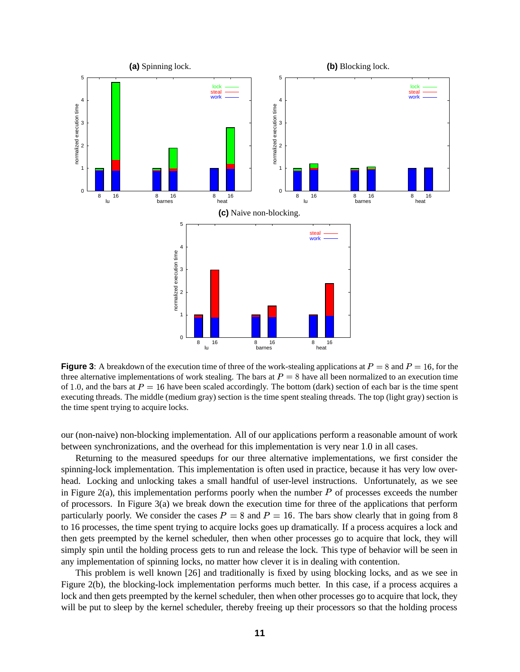

**Figure** 3: A breakdown of the execution time of three of the work-stealing applications at  $P = 8$  and  $P = 16$ , for the three alternative implementations of work stealing. The bars at  $P = 8$  have all been normalized to an execution time of 1.0, and the bars at  $P = 16$  have been scaled accordingly. The bottom (dark) section of each bar is the time spent executing threads. The middle (medium gray) section is the time spent stealing threads. The top (light gray) section is the time spent trying to acquire locks.

our (non-naive) non-blocking implementation. All of our applications perform a reasonable amount of work between synchronizations, and the overhead for this implementation is very near 1.0 in all cases.

Returning to the measured speedups for our three alternative implementations, we first consider the spinning-lock implementation. This implementation is often used in practice, because it has very low overhead. Locking and unlocking takes a small handful of user-level instructions. Unfortunately, as we see in Figure 2(a), this implementation performs poorly when the number  $P$  of processes exceeds the number of processors. In Figure  $3(a)$  we break down the execution time for three of the applications that perform particularly poorly. We consider the cases  $P = 8$  and  $P = 16$ . The bars show clearly that in going from 8 to 16 processes, the time spent trying to acquire locks goes up dramatically. If a process acquires a lock and then gets preempted by the kernel scheduler, then when other processes go to acquire that lock, they will simply spin until the holding process gets to run and release the lock. This type of behavior will be seen in any implementation of spinning locks, no matter how clever it is in dealing with contention.

This problem is well known [26] and traditionally is fixed by using blocking locks, and as we see in Figure 2(b), the blocking-lock implementation performs much better. In this case, if a process acquires a lock and then gets preempted by the kernel scheduler, then when other processes go to acquire that lock, they will be put to sleep by the kernel scheduler, thereby freeing up their processors so that the holding process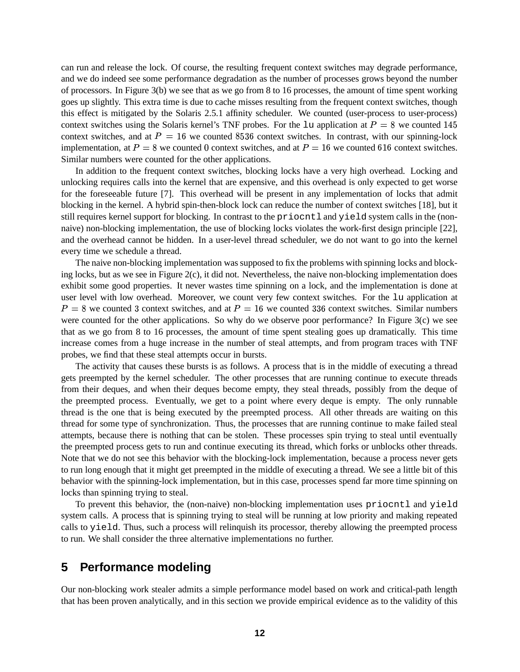can run and release the lock. Of course, the resulting frequent context switches may degrade performance, and we do indeed see some performance degradation as the number of processes grows beyond the number of processors. In Figure 3(b) we see that as we go from 8 to 16 processes, the amount of time spent working goes up slightly. This extra time is due to cache misses resulting from the frequent context switches, though this effect is mitigated by the Solaris 2.5.1 affinity scheduler. We counted (user-process to user-process) context switches using the Solaris kernel's TNF probes. For the 1u application at  $P = 8$  we counted 145 context switches, and at  $P = 16$  we counted 8536 context switches. In contrast, with our spinning-lock implementation, at  $P = 8$  we counted 0 context switches, and at  $P = 16$  we counted 616 context switches. Similar numbers were counted for the other applications.

In addition to the frequent context switches, blocking locks have a very high overhead. Locking and unlocking requires calls into the kernel that are expensive, and this overhead is only expected to get worse for the foreseeable future [7]. This overhead will be present in any implementation of locks that admit blocking in the kernel. A hybrid spin-then-block lock can reduce the number of context switches [18], but it still requires kernel support for blocking. In contrast to the priocntl and yield system calls in the (nonnaive) non-blocking implementation, the use of blocking locks violates the work-first design principle [22], and the overhead cannot be hidden. In a user-level thread scheduler, we do not want to go into the kernel every time we schedule a thread.

The naive non-blocking implementation was supposed to fix the problems with spinning locks and blocking locks, but as we see in Figure 2(c), it did not. Nevertheless, the naive non-blocking implementation does exhibit some good properties. It never wastes time spinning on a lock, and the implementation is done at user level with low overhead. Moreover, we count very few context switches. For the lu application at  $P = 8$  we counted 3 context switches, and at  $P = 16$  we counted 336 context switches. Similar numbers were counted for the other applications. So why do we observe poor performance? In Figure 3(c) we see that as we go from 8 to 16 processes, the amount of time spent stealing goes up dramatically. This time increase comes from a huge increase in the number of steal attempts, and from program traces with TNF probes, we find that these steal attempts occur in bursts.

The activity that causes these bursts is as follows. A process that is in the middle of executing a thread gets preempted by the kernel scheduler. The other processes that are running continue to execute threads from their deques, and when their deques become empty, they steal threads, possibly from the deque of the preempted process. Eventually, we get to a point where every deque is empty. The only runnable thread is the one that is being executed by the preempted process. All other threads are waiting on this thread for some type of synchronization. Thus, the processes that are running continue to make failed steal attempts, because there is nothing that can be stolen. These processes spin trying to steal until eventually the preempted process gets to run and continue executing its thread, which forks or unblocks other threads. Note that we do not see this behavior with the blocking-lock implementation, because a process never gets to run long enough that it might get preempted in the middle of executing a thread. We see a little bit of this behavior with the spinning-lock implementation, but in this case, processes spend far more time spinning on locks than spinning trying to steal.

To prevent this behavior, the (non-naive) non-blocking implementation uses priocntl and yield system calls. A process that is spinning trying to steal will be running at low priority and making repeated calls to yield. Thus, such a process will relinquish its processor, thereby allowing the preempted process to run. We shall consider the three alternative implementations no further.

### **5 Performance modeling**

Our non-blocking work stealer admits a simple performance model based on work and critical-path length that has been proven analytically, and in this section we provide empirical evidence as to the validity of this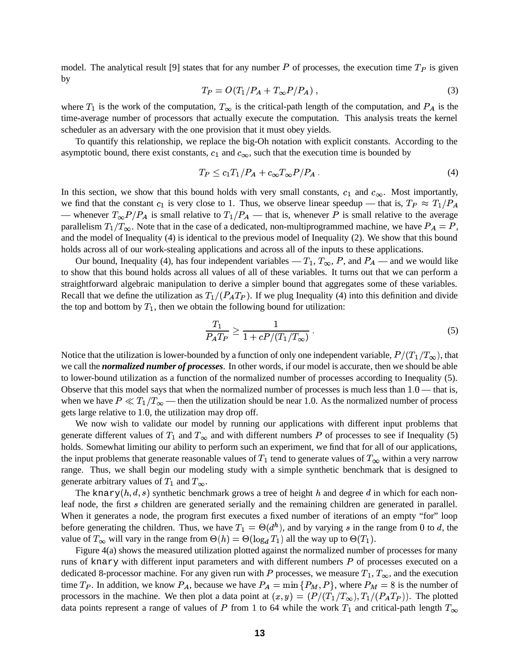model. The analytical result [9] states that for any number P of processes, the execution time  $T_P$  is given by

$$
T_P = O(T_1/P_A + T_\infty P/P_A),\tag{3}
$$

where  $T_1$  is the work of the computation,  $T_{\infty}$  is the critical-path length of the computation, and  $P_A$  is the time-average number of processors that actually execute the computation. This analysis treats the kernel scheduler as an adversary with the one provision that it must obey yields.

To quantify this relationship, we replace the big-Oh notation with explicit constants. According to the asymptotic bound, there exist constants,  $c_1$  and  $c_{\infty}$ , such that the execution time is bounded by

$$
T_P \le c_1 T_1 / P_A + c_\infty T_\infty P / P_A \,. \tag{4}
$$

In this section, we show that this bound holds with very small constants,  $c_1$  and  $c_\infty$ . Most importantly, we find that the constant  $c_1$  is very close to 1. Thus, we observe linear speedup — that is,  $T_P \approx T_1/P_A$ — whenever  $T_{\infty}P/P_A$  is small relative to  $T_1/P_A$  — that is, whenever P is small relative to the average parallelism  $T_1/T_\infty$ . Note that in the case of a dedicated, non-multiprogrammed machine, we have  $P_A = P$ , and the model of Inequality (4) is identical to the previous model of Inequality (2). We show that this bound holds across all of our work-stealing applications and across all of the inputs to these applications.

Our bound, Inequality (4), has four independent variables —  $T_1$ ,  $T_{\infty}$ , P, and  $P_A$  — and we would like to show that this bound holds across all values of all of these variables. It turns out that we can perform a straightforward algebraic manipulation to derive a simpler bound that aggregates some of these variables. Recall that we define the utilization as  $T_1/(P_A T_P)$ . If we plug Inequality (4) into this definition and divide the top and bottom by  $T_1$ , then we obtain the following bound for utilization:

$$
\frac{T_1}{P_A T_P} \ge \frac{1}{1 + cP/(T_1/T_\infty)}\,. \tag{5}
$$

Notice that the utilization is lower-bounded by a function of only one independent variable,  $P/(T_1/T_\infty)$ , that we call the *normalized number of processes*. In other words, if our model is accurate, then we should be able to lower-bound utilization as a function of the normalized number of processes according to Inequality (5). Observe that this model says that when the normalized number of processes is much less than  $1.0$ —that is, when we have  $P \ll T_1/T_\infty$  — then the utilization should be near 1.0. As the normalized number of process gets large relative to 1.0, the utilization may drop off.

We now wish to validate our model by running our applications with different input problems that generate different values of  $T_1$  and  $T_\infty$  and with different numbers P of processes to see if Inequality (5) holds. Somewhat limiting our ability to perform such an experiment, we find that for all of our applications, the input problems that generate reasonable values of  $T_1$  tend to generate values of  $T_\infty$  within a very narrow range. Thus, we shall begin our modeling study with a simple synthetic benchmark that is designed to generate arbitrary values of  $T_1$  and  $T_{\infty}$ .

The knary  $(h, d, s)$  synthetic benchmark grows a tree of height h and degree d in which for each nonleaf node, the first *s* children are generated serially and the remaining children are generated in parallel. When it generates a node, the program first executes a fixed number of iterations of an empty "for" loop before generating the children. Thus, we have  $T_1 = \Theta(d^h)$ , and by varying s in the range from 0 to d, the value of  $T_\infty$  will vary in the range from  $\Theta(h) = \Theta(\log_d T_1)$  all the way up to  $\Theta(T_1)$ .

Figure 4(a) shows the measured utilization plotted against the normalized number of processes for many runs of knary with different input parameters and with different numbers  $P$  of processes executed on a dedicated 8-processor machine. For any given run with P processes, we measure  $T_1, T_\infty$ , and the execution time  $T_P$ . In addition, we know  $P_A$ , because we have  $P_A = \min\{P_M, P\}$ , where  $P_M = 8$  is the number of processors in the machine. We then plot a data point at  $(x, y) = (P/(T_1/T_\infty), T_1/(P_A T_P))$ . The plotted data points represent a range of values of P from 1 to 64 while the work  $T_1$  and critical-path length  $T_\infty$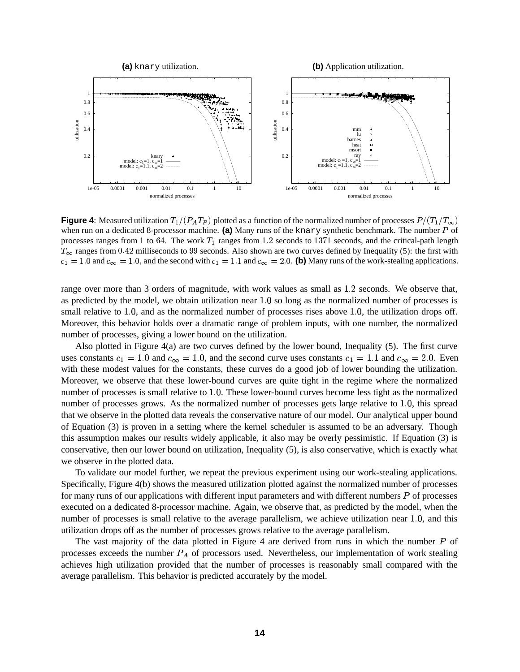

**Figure 4**: Measured utilization  $T_1/(P_A T_P)$  plotted as a function of the normalized number of processes  $P/(T_1/T_\infty)$ when run on a dedicated 8-processor machine. (a) Many runs of the knary synthetic benchmark. The number P of processes ranges from 1 to 64. The work  $T_1$  ranges from 1.2 seconds to 1371 seconds, and the critical-path length  $T_{\infty}$  ranges from 0.42 milliseconds to 99 seconds. Also shown are two curves defined by Inequality (5): the first with  $c_1 = 1.0$  and  $c_\infty = 1.0$ , and the second with  $c_1 = 1.1$  and  $c_\infty = 2.0$ . (b) Many runs of the work-stealing applications.

range over more than 3 orders of magnitude, with work values as small as 1.2 seconds. We observe that, as predicted by the model, we obtain utilization near 1.0 so long as the normalized number of processes is small relative to 1.0, and as the normalized number of processes rises above 1.0, the utilization drops off. Moreover, this behavior holds over a dramatic range of problem inputs, with one number, the normalized number of processes, giving a lower bound on the utilization.

Also plotted in Figure 4(a) are two curves defined by the lower bound, Inequality (5). The first curve uses constants  $c_1 = 1.0$  and  $c_{\infty} = 1.0$ , and the second curve uses constants  $c_1 = 1.1$  and  $c_{\infty} = 2.0$ . Even with these modest values for the constants, these curves do a good job of lower bounding the utilization. Moreover, we observe that these lower-bound curves are quite tight in the regime where the normalized number of processes is small relative to 1.0. These lower-bound curves become less tight as the normalized number of processes grows. As the normalized number of processes gets large relative to 1.0, this spread that we observe in the plotted data reveals the conservative nature of our model. Our analytical upper bound of Equation (3) is proven in a setting where the kernel scheduler is assumed to be an adversary. Though this assumption makes our results widely applicable, it also may be overly pessimistic. If Equation (3) is conservative, then our lower bound on utilization, Inequality (5), is also conservative, which is exactly what we observe in the plotted data.

To validate our model further, we repeat the previous experiment using our work-stealing applications. Specifically, Figure 4(b) shows the measured utilization plotted against the normalized number of processes for many runs of our applications with different input parameters and with different numbers  $P$  of processes executed on a dedicated 8-processor machine. Again, we observe that, as predicted by the model, when the number of processes is small relative to the average parallelism, we achieve utilization near 1.0, and this utilization drops off as the number of processes grows relative to the average parallelism.

The vast majority of the data plotted in Figure 4 are derived from runs in which the number  $P$  of processes exceeds the number  $P_A$  of processors used. Nevertheless, our implementation of work stealing achieves high utilization provided that the number of processes is reasonably small compared with the average parallelism. This behavior is predicted accurately by the model.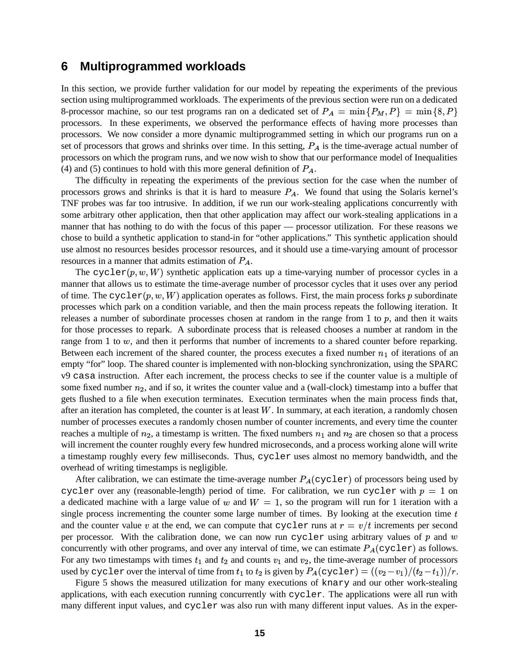### **6 Multiprogrammed workloads**

In this section, we provide further validation for our model by repeating the experiments of the previous section using multiprogrammed workloads. The experiments of the previous section were run on a dedicated 8-processor machine, so our test programs ran on a dedicated set of  $P_A = \min \{P_M, P\} = \min \{8, P\}$ processors. In these experiments, we observed the performance effects of having more processes than processors. We now consider a more dynamic multiprogrammed setting in which our programs run on a set of processors that grows and shrinks over time. In this setting,  $P_A$  is the time-average actual number of processors on which the program runs, and we now wish to show that our performance model of Inequalities (4) and (5) continues to hold with this more general definition of  $P_A$ .

The difficulty in repeating the experiments of the previous section for the case when the number of processors grows and shrinks is that it is hard to measure  $P_A$ . We found that using the Solaris kernel's TNF probes was far too intrusive. In addition, if we run our work-stealing applications concurrently with some arbitrary other application, then that other application may affect our work-stealing applications in a manner that has nothing to do with the focus of this paper — processor utilization. For these reasons we chose to build a synthetic application to stand-in for "other applications." This synthetic application should use almost no resources besides processor resources, and it should use a time-varying amount of processor resources in a manner that admits estimation of  $P_A$ .

The cycler  $(p, w, W)$  synthetic application eats up a time-varying number of processor cycles in a manner that allows us to estimate the time-average number of processor cycles that it uses over any period of time. The  $\text{cyclic}(p, w, W)$  application operates as follows. First, the main process forks p subordinate processes which park on a condition variable, and then the main process repeats the following iteration. It releases a number of subordinate processes chosen at random in the range from 1 to  $p$ , and then it waits for those processes to repark. A subordinate process that is released chooses a number at random in the range from 1 to  $w$ , and then it performs that number of increments to a shared counter before reparking. Between each increment of the shared counter, the process executes a fixed number  $n_1$  of iterations of an empty "for" loop. The shared counter is implemented with non-blocking synchronization, using the SPARC v9 casa instruction. After each increment, the process checks to see if the counter value is a multiple of some fixed number  $n_2$ , and if so, it writes the counter value and a (wall-clock) timestamp into a buffer that gets flushed to a file when execution terminates. Execution terminates when the main process finds that, after an iteration has completed, the counter is at least  $W$ . In summary, at each iteration, a randomly chosen number of processes executes a randomly chosen number of counter increments, and every time the counter reaches a multiple of  $n_2$ , a timestamp is written. The fixed numbers  $n_1$  and  $n_2$  are chosen so that a process will increment the counter roughly every few hundred microseconds, and a process working alone will write a timestamp roughly every few milliseconds. Thus, cycler uses almost no memory bandwidth, and the overhead of writing timestamps is negligible.

After calibration, we can estimate the time-average number  $P_A(c_{\text{ycler}})$  of processors being used by cycler over any (reasonable-length) period of time. For calibration, we run cycler with  $p = 1$  on a dedicated machine with a large value of w and  $W = 1$ , so the program will run for 1 iteration with a single process incrementing the counter some large number of times. By looking at the execution time  $t$ and the counter value  $v$  at the end, we can compute that cycler runs at  $r = v/t$  increments per second per processor. With the calibration done, we can now run cycler using arbitrary values of p and w concurrently with other programs, and over any interval of time, we can estimate  $P_A(cycleer)$  as follows. For any two timestamps with times  $t_1$  and  $t_2$  and counts  $v_1$  and  $v_2$ , the time-average number of processors used by cycler over the interval of time from  $t_1$  to  $t_2$  is given by  $P_A$ (cycler) =  $((v_2 - v_1)/(t_2 - t_1))/r$ .

Figure 5 shows the measured utilization for many executions of knary and our other work-stealing applications, with each execution running concurrently with cycler. The applications were all run with many different input values, and cycler was also run with many different input values. As in the exper-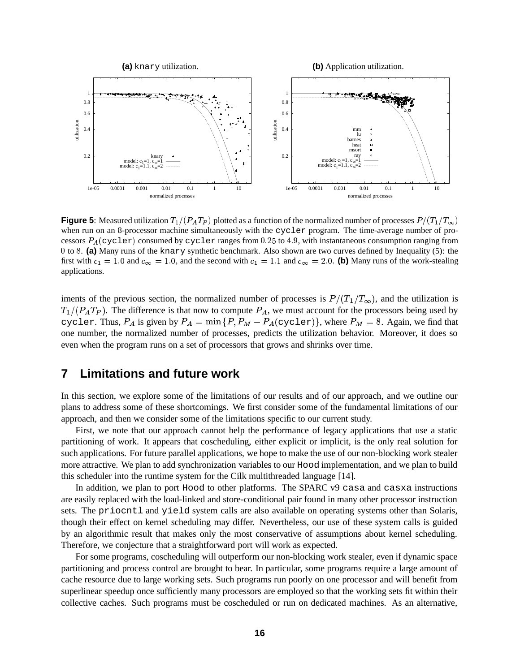

**Figure 5**: Measured utilization  $T_1/(P_A T_P)$  plotted as a function of the normalized number of processes  $P/(T_1/T_\infty)$ when run on an 8-processor machine simultaneously with the cycler program. The time-average number of processors  $P_A$ (cycler) consumed by cycler ranges from 0.25 to 4.9, with instantaneous consumption ranging from 0 to 8. (a) Many runs of the knary synthetic benchmark. Also shown are two curves defined by Inequality (5): the first with  $c_1 = 1.0$  and  $c_\infty = 1.0$ , and the second with  $c_1 = 1.1$  and  $c_\infty = 2.0$ . (b) Many runs of the work-stealing applications.

iments of the previous section, the normalized number of processes is  $P/(T_1/T_\infty)$ , and the utilization is  $T_1/(P_A T_P)$ . The difference is that now to compute  $P_A$ , we must account for the processors being used by cycler. Thus,  $P_A$  is given by  $P_A = \min \{P, P_M - P_A(\text{cycle})\}$ , where  $P_M = 8$ . Again, we find that one number, the normalized number of processes, predicts the utilization behavior. Moreover, it does so even when the program runs on a set of processors that grows and shrinks over time.

## **7 Limitations and future work**

In this section, we explore some of the limitations of our results and of our approach, and we outline our plans to address some of these shortcomings. We first consider some of the fundamental limitations of our approach, and then we consider some of the limitations specific to our current study.

First, we note that our approach cannot help the performance of legacy applications that use a static partitioning of work. It appears that coscheduling, either explicit or implicit, is the only real solution for such applications. For future parallel applications, we hope to make the use of our non-blocking work stealer more attractive. We plan to add synchronization variables to our Hood implementation, and we plan to build this scheduler into the runtime system for the Cilk multithreaded language [14].

In addition, we plan to port Hood to other platforms. The SPARC v9 casa and casxa instructions are easily replaced with the load-linked and store-conditional pair found in many other processor instruction sets. The priocntl and yield system calls are also available on operating systems other than Solaris, though their effect on kernel scheduling may differ. Nevertheless, our use of these system calls is guided by an algorithmic result that makes only the most conservative of assumptions about kernel scheduling. Therefore, we conjecture that a straightforward port will work as expected.

For some programs, coscheduling will outperform our non-blocking work stealer, even if dynamic space partitioning and process control are brought to bear. In particular, some programs require a large amount of cache resource due to large working sets. Such programs run poorly on one processor and will benefit from superlinear speedup once sufficiently many processors are employed so that the working sets fit within their collective caches. Such programs must be coscheduled or run on dedicated machines. As an alternative,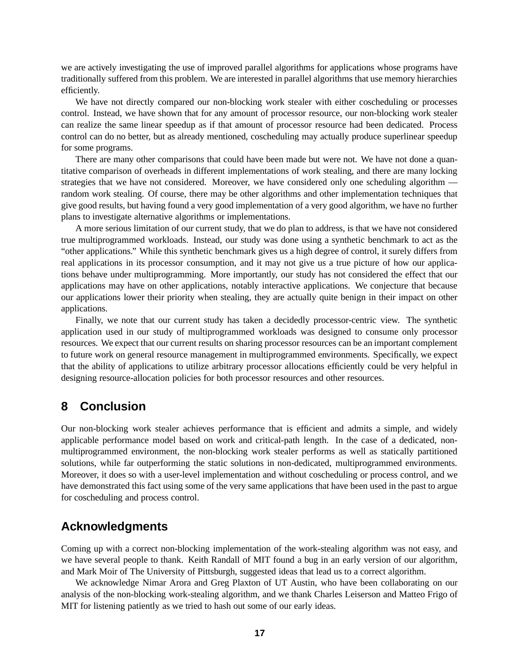we are actively investigating the use of improved parallel algorithms for applications whose programs have traditionally suffered from this problem. We are interested in parallel algorithms that use memory hierarchies efficiently.

We have not directly compared our non-blocking work stealer with either coscheduling or processes control. Instead, we have shown that for any amount of processor resource, our non-blocking work stealer can realize the same linear speedup as if that amount of processor resource had been dedicated. Process control can do no better, but as already mentioned, coscheduling may actually produce superlinear speedup for some programs.

There are many other comparisons that could have been made but were not. We have not done a quantitative comparison of overheads in different implementations of work stealing, and there are many locking strategies that we have not considered. Moreover, we have considered only one scheduling algorithm random work stealing. Of course, there may be other algorithms and other implementation techniques that give good results, but having found a very good implementation of a very good algorithm, we have no further plans to investigate alternative algorithms or implementations.

A more serious limitation of our current study, that we do plan to address, is that we have not considered true multiprogrammed workloads. Instead, our study was done using a synthetic benchmark to act as the "other applications." While this synthetic benchmark gives us a high degree of control, it surely differs from real applications in its processor consumption, and it may not give us a true picture of how our applications behave under multiprogramming. More importantly, our study has not considered the effect that our applications may have on other applications, notably interactive applications. We conjecture that because our applications lower their priority when stealing, they are actually quite benign in their impact on other applications.

Finally, we note that our current study has taken a decidedly processor-centric view. The synthetic application used in our study of multiprogrammed workloads was designed to consume only processor resources. We expect that our current results on sharing processor resources can be an important complement to future work on general resource management in multiprogrammed environments. Specifically, we expect that the ability of applications to utilize arbitrary processor allocations efficiently could be very helpful in designing resource-allocation policies for both processor resources and other resources.

## **8 Conclusion**

Our non-blocking work stealer achieves performance that is efficient and admits a simple, and widely applicable performance model based on work and critical-path length. In the case of a dedicated, nonmultiprogrammed environment, the non-blocking work stealer performs as well as statically partitioned solutions, while far outperforming the static solutions in non-dedicated, multiprogrammed environments. Moreover, it does so with a user-level implementation and without coscheduling or process control, and we have demonstrated this fact using some of the very same applications that have been used in the past to argue for coscheduling and process control.

## **Acknowledgments**

Coming up with a correct non-blocking implementation of the work-stealing algorithm was not easy, and we have several people to thank. Keith Randall of MIT found a bug in an early version of our algorithm, and Mark Moir of The University of Pittsburgh, suggested ideas that lead us to a correct algorithm.

We acknowledge Nimar Arora and Greg Plaxton of UT Austin, who have been collaborating on our analysis of the non-blocking work-stealing algorithm, and we thank Charles Leiserson and Matteo Frigo of MIT for listening patiently as we tried to hash out some of our early ideas.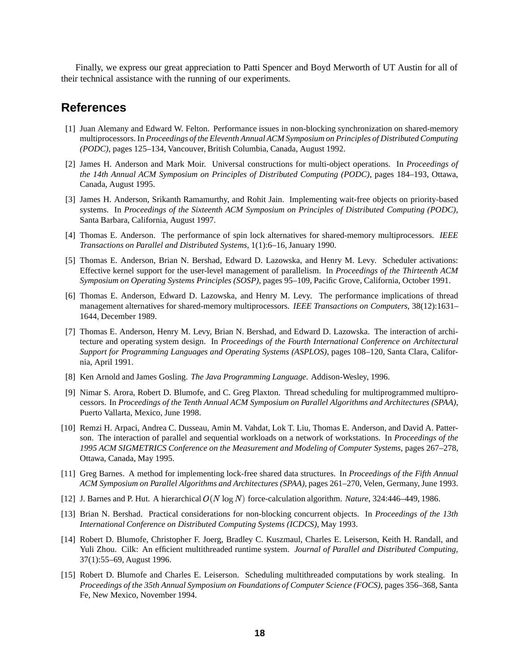Finally, we express our great appreciation to Patti Spencer and Boyd Merworth of UT Austin for all of their technical assistance with the running of our experiments.

### **References**

- [1] Juan Alemany and Edward W. Felton. Performance issues in non-blocking synchronization on shared-memory multiprocessors. In *Proceedings of the Eleventh Annual ACM Symposium on Principles of Distributed Computing (PODC)*, pages 125–134, Vancouver, British Columbia, Canada, August 1992.
- [2] James H. Anderson and Mark Moir. Universal constructions for multi-object operations. In *Proceedings of the 14th Annual ACM Symposium on Principles of Distributed Computing (PODC)*, pages 184–193, Ottawa, Canada, August 1995.
- [3] James H. Anderson, Srikanth Ramamurthy, and Rohit Jain. Implementing wait-free objects on priority-based systems. In *Proceedings of the Sixteenth ACM Symposium on Principles of Distributed Computing (PODC)*, Santa Barbara, California, August 1997.
- [4] Thomas E. Anderson. The performance of spin lock alternatives for shared-memory multiprocessors. *IEEE Transactions on Parallel and Distributed Systems*, 1(1):6–16, January 1990.
- [5] Thomas E. Anderson, Brian N. Bershad, Edward D. Lazowska, and Henry M. Levy. Scheduler activations: Effective kernel support for the user-level management of parallelism. In *Proceedings of the Thirteenth ACM Symposium on Operating Systems Principles (SOSP)*, pages 95–109, Pacific Grove, California, October 1991.
- [6] Thomas E. Anderson, Edward D. Lazowska, and Henry M. Levy. The performance implications of thread management alternatives for shared-memory multiprocessors. *IEEE Transactions on Computers*, 38(12):1631– 1644, December 1989.
- [7] Thomas E. Anderson, Henry M. Levy, Brian N. Bershad, and Edward D. Lazowska. The interaction of architecture and operating system design. In *Proceedings of the Fourth International Conference on Architectural Support for Programming Languages and Operating Systems (ASPLOS)*, pages 108–120, Santa Clara, California, April 1991.
- [8] Ken Arnold and James Gosling. *The Java Programming Language*. Addison-Wesley, 1996.
- [9] Nimar S. Arora, Robert D. Blumofe, and C. Greg Plaxton. Thread scheduling for multiprogrammed multiprocessors. In *Proceedings of the Tenth Annual ACM Symposium on Parallel Algorithms and Architectures (SPAA)*, Puerto Vallarta, Mexico, June 1998.
- [10] Remzi H. Arpaci, Andrea C. Dusseau, Amin M. Vahdat, Lok T. Liu, Thomas E. Anderson, and David A. Patterson. The interaction of parallel and sequential workloads on a network of workstations. In *Proceedings of the 1995 ACM SIGMETRICS Conference on the Measurement and Modeling of Computer Systems*, pages 267–278, Ottawa, Canada, May 1995.
- [11] Greg Barnes. A method for implementing lock-free shared data structures. In *Proceedings of the Fifth Annual ACM Symposium on Parallel Algorithms and Architectures (SPAA)*, pages 261–270, Velen, Germany, June 1993.
- [12] J. Barnes and P. Hut. A hierarchical  $O(N \log N)$  force-calculation algorithm. *Nature*, 324:446–449, 1986.
- [13] Brian N. Bershad. Practical considerations for non-blocking concurrent objects. In *Proceedings of the 13th International Conference on Distributed Computing Systems (ICDCS)*, May 1993.
- [14] Robert D. Blumofe, Christopher F. Joerg, Bradley C. Kuszmaul, Charles E. Leiserson, Keith H. Randall, and Yuli Zhou. Cilk: An efficient multithreaded runtime system. *Journal of Parallel and Distributed Computing*, 37(1):55–69, August 1996.
- [15] Robert D. Blumofe and Charles E. Leiserson. Scheduling multithreaded computations by work stealing. In *Proceedings of the 35th Annual Symposium on Foundations of Computer Science (FOCS)*, pages 356–368, Santa Fe, New Mexico, November 1994.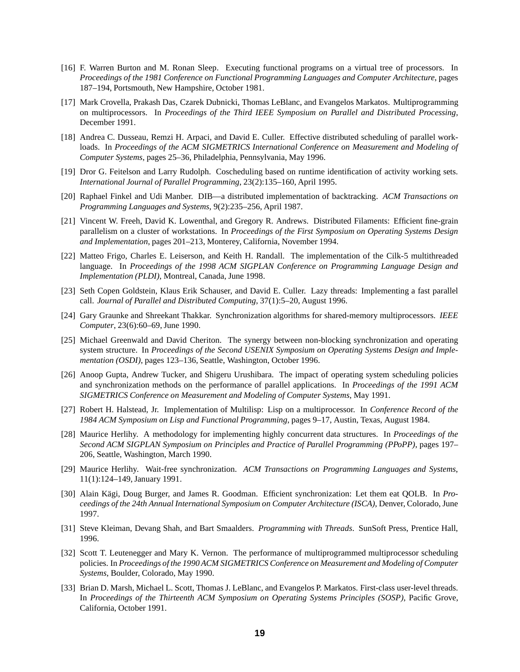- [16] F. Warren Burton and M. Ronan Sleep. Executing functional programs on a virtual tree of processors. In *Proceedings of the 1981 Conference on Functional Programming Languages and Computer Architecture*, pages 187–194, Portsmouth, New Hampshire, October 1981.
- [17] Mark Crovella, Prakash Das, Czarek Dubnicki, Thomas LeBlanc, and Evangelos Markatos. Multiprogramming on multiprocessors. In *Proceedings of the Third IEEE Symposium on Parallel and Distributed Processing*, December 1991.
- [18] Andrea C. Dusseau, Remzi H. Arpaci, and David E. Culler. Effective distributed scheduling of parallel workloads. In *Proceedings of the ACM SIGMETRICS International Conference on Measurement and Modeling of Computer Systems*, pages 25–36, Philadelphia, Pennsylvania, May 1996.
- [19] Dror G. Feitelson and Larry Rudolph. Coscheduling based on runtime identification of activity working sets. *International Journal of Parallel Programming*, 23(2):135–160, April 1995.
- [20] Raphael Finkel and Udi Manber. DIB—a distributed implementation of backtracking. *ACM Transactions on Programming Languages and Systems*, 9(2):235–256, April 1987.
- [21] Vincent W. Freeh, David K. Lowenthal, and Gregory R. Andrews. Distributed Filaments: Efficient fine-grain parallelism on a cluster of workstations. In *Proceedings of the First Symposium on Operating Systems Design and Implementation*, pages 201–213, Monterey, California, November 1994.
- [22] Matteo Frigo, Charles E. Leiserson, and Keith H. Randall. The implementation of the Cilk-5 multithreaded language. In *Proceedings of the 1998 ACM SIGPLAN Conference on Programming Language Design and Implementation (PLDI)*, Montreal, Canada, June 1998.
- [23] Seth Copen Goldstein, Klaus Erik Schauser, and David E. Culler. Lazy threads: Implementing a fast parallel call. *Journal of Parallel and Distributed Computing*, 37(1):5–20, August 1996.
- [24] Gary Graunke and Shreekant Thakkar. Synchronization algorithms for shared-memory multiprocessors. *IEEE Computer*, 23(6):60–69, June 1990.
- [25] Michael Greenwald and David Cheriton. The synergy between non-blocking synchronization and operating system structure. In *Proceedings of the Second USENIX Symposium on Operating Systems Design and Implementation (OSDI)*, pages 123–136, Seattle, Washington, October 1996.
- [26] Anoop Gupta, Andrew Tucker, and Shigeru Urushibara. The impact of operating system scheduling policies and synchronization methods on the performance of parallel applications. In *Proceedings of the 1991 ACM SIGMETRICS Conference on Measurement and Modeling of Computer Systems*, May 1991.
- [27] Robert H. Halstead, Jr. Implementation of Multilisp: Lisp on a multiprocessor. In *Conference Record of the 1984 ACM Symposium on Lisp and Functional Programming*, pages 9–17, Austin, Texas, August 1984.
- [28] Maurice Herlihy. A methodology for implementing highly concurrent data structures. In *Proceedings of the Second ACM SIGPLAN Symposium on Principles and Practice of Parallel Programming (PPoPP)*, pages 197– 206, Seattle, Washington, March 1990.
- [29] Maurice Herlihy. Wait-free synchronization. *ACM Transactions on Programming Languages and Systems*, 11(1):124–149,January 1991.
- [30] Alain Kägi, Doug Burger, and James R. Goodman. Efficient synchronization: Let them eat QOLB. In *Proceedings of the 24th Annual International Symposium on Computer Architecture (ISCA)*, Denver, Colorado, June 1997.
- [31] Steve Kleiman, Devang Shah, and Bart Smaalders. *Programming with Threads*. SunSoft Press, Prentice Hall, 1996.
- [32] Scott T. Leutenegger and Mary K. Vernon. The performance of multiprogrammed multiprocessor scheduling policies. In *Proceedings of the 1990 ACM SIGMETRICS Conference on Measurement and Modeling of Computer Systems*, Boulder, Colorado, May 1990.
- [33] Brian D. Marsh, Michael L. Scott, Thomas J. LeBlanc, and Evangelos P. Markatos. First-class user-level threads. In *Proceedings of the Thirteenth ACM Symposium on Operating Systems Principles (SOSP)*, Pacific Grove, California, October 1991.